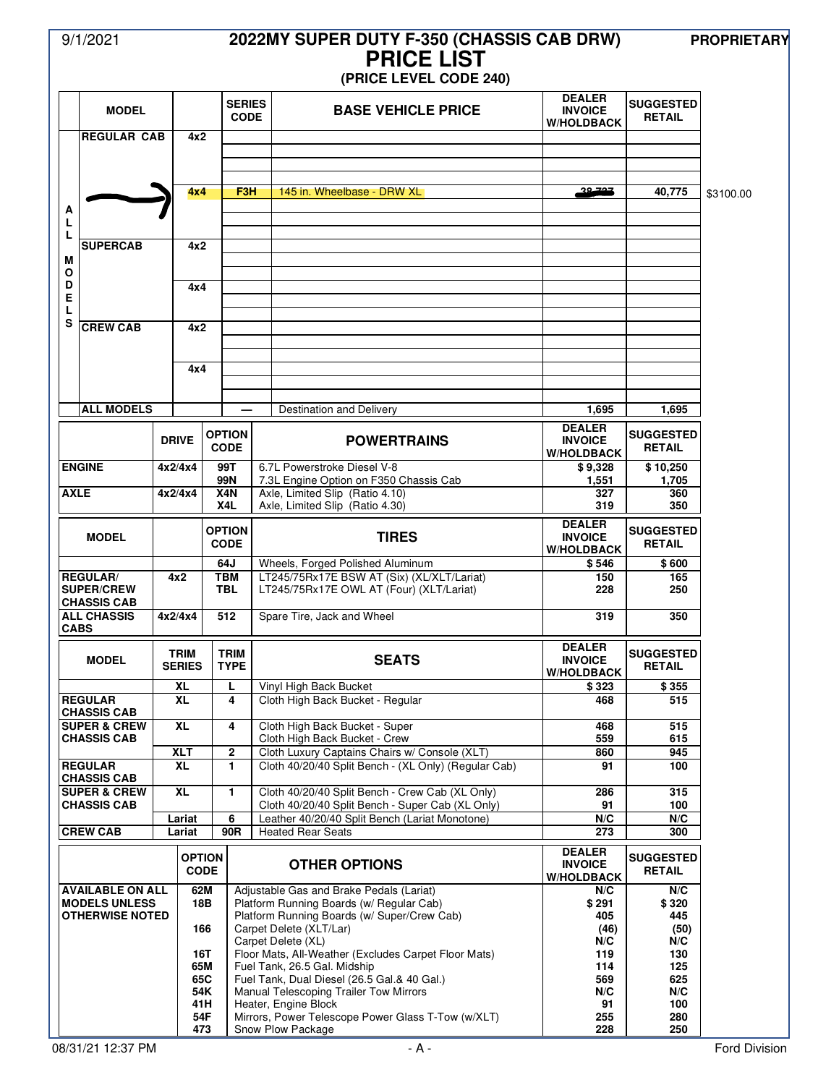# 9/1/2021 **2022MY SUPER DUTY F-350 (CHASSIS CAB DRW) PROPRIETARY PRICE LIST**

## **(PRICE LEVEL CODE 240)**

|                                                | <b>MODEL</b>                                  |                                  |                              | <b>SERIES</b><br><b>CODE</b> |                               | <b>BASE VEHICLE PRICE</b>                                                                             | <b>DEALER</b><br><b>INVOICE</b><br><b>W/HOLDBACK</b> | <b>SUGGESTED</b><br><b>RETAIL</b> |           |
|------------------------------------------------|-----------------------------------------------|----------------------------------|------------------------------|------------------------------|-------------------------------|-------------------------------------------------------------------------------------------------------|------------------------------------------------------|-----------------------------------|-----------|
|                                                | <b>REGULAR CAB</b><br>4x2                     |                                  |                              |                              |                               |                                                                                                       |                                                      |                                   |           |
|                                                |                                               |                                  |                              |                              |                               |                                                                                                       |                                                      |                                   |           |
| A                                              |                                               |                                  | 4x4                          |                              | F3H                           | 145 in. Wheelbase - DRW XL                                                                            | 20.707                                               | 40,775                            | \$3100.00 |
| L<br>L                                         |                                               |                                  |                              |                              |                               |                                                                                                       |                                                      |                                   |           |
| M                                              | <b>SUPERCAB</b>                               |                                  |                              | 4x2                          |                               |                                                                                                       |                                                      |                                   |           |
| O<br>D<br>Ε<br>L<br>S                          |                                               |                                  | 4x4                          |                              |                               |                                                                                                       |                                                      |                                   |           |
|                                                |                                               |                                  |                              |                              |                               |                                                                                                       |                                                      |                                   |           |
|                                                | <b>CREW CAB</b>                               | 4x2                              |                              |                              |                               |                                                                                                       |                                                      |                                   |           |
|                                                |                                               |                                  |                              | 4x4                          |                               |                                                                                                       |                                                      |                                   |           |
|                                                |                                               |                                  |                              |                              |                               |                                                                                                       |                                                      |                                   |           |
|                                                | <b>ALL MODELS</b>                             |                                  |                              |                              |                               | <b>Destination and Delivery</b>                                                                       | 1,695                                                | 1,695                             |           |
|                                                |                                               |                                  | <b>DRIVE</b>                 | <b>OPTION</b><br><b>CODE</b> |                               | <b>POWERTRAINS</b>                                                                                    | <b>DEALER</b><br><b>INVOICE</b><br><b>W/HOLDBACK</b> | <b>SUGGESTED</b><br><b>RETAIL</b> |           |
| <b>ENGINE</b>                                  |                                               | 4x2/4x4                          |                              | 99T<br>99N                   |                               | 6.7L Powerstroke Diesel V-8<br>7.3L Engine Option on F350 Chassis Cab                                 | \$9,328<br>1,551                                     | \$10,250<br>1,705                 |           |
|                                                | <b>AXLE</b>                                   |                                  | 4x2/4x4                      | X4N<br>X <sub>4</sub> L      |                               | Axle, Limited Slip (Ratio 4.10)<br>Axle, Limited Slip (Ratio 4.30)                                    | 327<br>319                                           | 360<br>350                        |           |
|                                                |                                               |                                  |                              | <b>OPTION</b>                |                               |                                                                                                       | <b>DEALER</b>                                        | <b>SUGGESTED</b>                  |           |
|                                                | <b>MODEL</b>                                  |                                  |                              | <b>CODE</b>                  |                               | <b>TIRES</b>                                                                                          | <b>INVOICE</b><br><b>W/HOLDBACK</b>                  | <b>RETAIL</b>                     |           |
|                                                | <b>REGULAR/</b>                               |                                  | 4x2                          | 64J<br><b>TBM</b>            |                               | Wheels, Forged Polished Aluminum<br>LT245/75Rx17E BSW AT (Six) (XL/XLT/Lariat)                        | \$546<br>150                                         | \$600<br>165                      |           |
| <b>SUPER/CREW</b><br><b>CHASSIS CAB</b>        |                                               |                                  |                              | <b>TBL</b>                   |                               | LT245/75Rx17E OWL AT (Four) (XLT/Lariat)                                                              | 228                                                  | 250                               |           |
|                                                | <b>ALL CHASSIS</b><br><b>CABS</b>             |                                  | 4x2/4x4                      |                              | 512                           | Spare Tire, Jack and Wheel                                                                            | 319                                                  | 350                               |           |
|                                                | <b>MODEL</b>                                  | <b>TRIM</b><br><b>SERIES</b>     |                              | <b>TRIM</b><br><b>TYPE</b>   |                               | <b>SEATS</b>                                                                                          | <b>DEALER</b><br><b>INVOICE</b><br><b>W/HOLDBACK</b> | <b>SUGGESTED</b><br><b>RETAIL</b> |           |
|                                                | <b>REGULAR</b>                                |                                  | XL<br><b>XL</b>              |                              | L<br>4                        | Vinyl High Back Bucket<br>Cloth High Back Bucket - Regular                                            | \$323<br>468                                         | \$355<br>515                      |           |
|                                                | <b>CHASSIS CAB</b>                            |                                  |                              |                              |                               |                                                                                                       |                                                      |                                   |           |
|                                                | <b>SUPER &amp; CREW</b><br><b>CHASSIS CAB</b> |                                  | <b>XL</b>                    |                              | 4                             | Cloth High Back Bucket - Super<br>Cloth High Back Bucket - Crew                                       | 468<br>559                                           | 515<br>615                        |           |
|                                                | <b>REGULAR</b>                                |                                  | <b>XLT</b><br><b>XL</b>      |                              | $\overline{\mathbf{2}}$<br>1. | Cloth Luxury Captains Chairs w/ Console (XLT)<br>Cloth 40/20/40 Split Bench - (XL Only) (Regular Cab) | 860<br>91                                            | 945<br>100                        |           |
|                                                | <b>CHASSIS CAB</b><br><b>SUPER &amp; CREW</b> |                                  | <b>XL</b>                    |                              | $\mathbf{1}$                  | Cloth 40/20/40 Split Bench - Crew Cab (XL Only)                                                       |                                                      | 315                               |           |
|                                                | <b>CHASSIS CAB</b>                            |                                  |                              |                              |                               | Cloth 40/20/40 Split Bench - Super Cab (XL Only)                                                      | 286<br>91                                            | 100                               |           |
|                                                | <b>CREW CAB</b>                               |                                  | Lariat<br>Lariat             |                              | 6<br>90R                      | Leather 40/20/40 Split Bench (Lariat Monotone)<br><b>Heated Rear Seats</b>                            | N/C<br>273                                           | N/C<br>300                        |           |
|                                                |                                               |                                  | <b>OPTION</b><br><b>CODE</b> |                              |                               | <b>OTHER OPTIONS</b>                                                                                  | <b>DEALER</b><br><b>INVOICE</b><br><b>W/HOLDBACK</b> | <b>SUGGESTED</b><br><b>RETAIL</b> |           |
|                                                | <b>AVAILABLE ON ALL</b>                       |                                  | 62M                          |                              |                               | Adjustable Gas and Brake Pedals (Lariat)                                                              | N/C                                                  | N/C                               |           |
| <b>MODELS UNLESS</b><br><b>OTHERWISE NOTED</b> |                                               | 18B<br>166<br>16T<br>54K<br>41 H |                              |                              |                               | Platform Running Boards (w/ Regular Cab)<br>Platform Running Boards (w/ Super/Crew Cab)               | \$291<br>405                                         | \$320<br>445                      |           |
|                                                |                                               |                                  |                              |                              |                               | Carpet Delete (XLT/Lar)<br>Carpet Delete (XL)                                                         | (46)<br>N/C                                          | (50)<br>N/C                       |           |
|                                                |                                               |                                  |                              |                              |                               | Floor Mats, All-Weather (Excludes Carpet Floor Mats)                                                  | 119                                                  | 130                               |           |
|                                                |                                               |                                  |                              | 65M<br>65C                   |                               | Fuel Tank, 26.5 Gal. Midship<br>Fuel Tank, Dual Diesel (26.5 Gal.& 40 Gal.)                           | 114<br>569                                           | 125<br>625                        |           |
|                                                |                                               |                                  |                              |                              |                               | Manual Telescoping Trailer Tow Mirrors<br>Heater, Engine Block                                        | N/C                                                  | N/C<br>100                        |           |
|                                                |                                               |                                  | 54F                          |                              |                               | Mirrors, Power Telescope Power Glass T-Tow (w/XLT)                                                    | 91<br>255                                            | 280                               |           |
|                                                |                                               |                                  | 473                          |                              |                               | Snow Plow Package                                                                                     | 228                                                  | 250                               |           |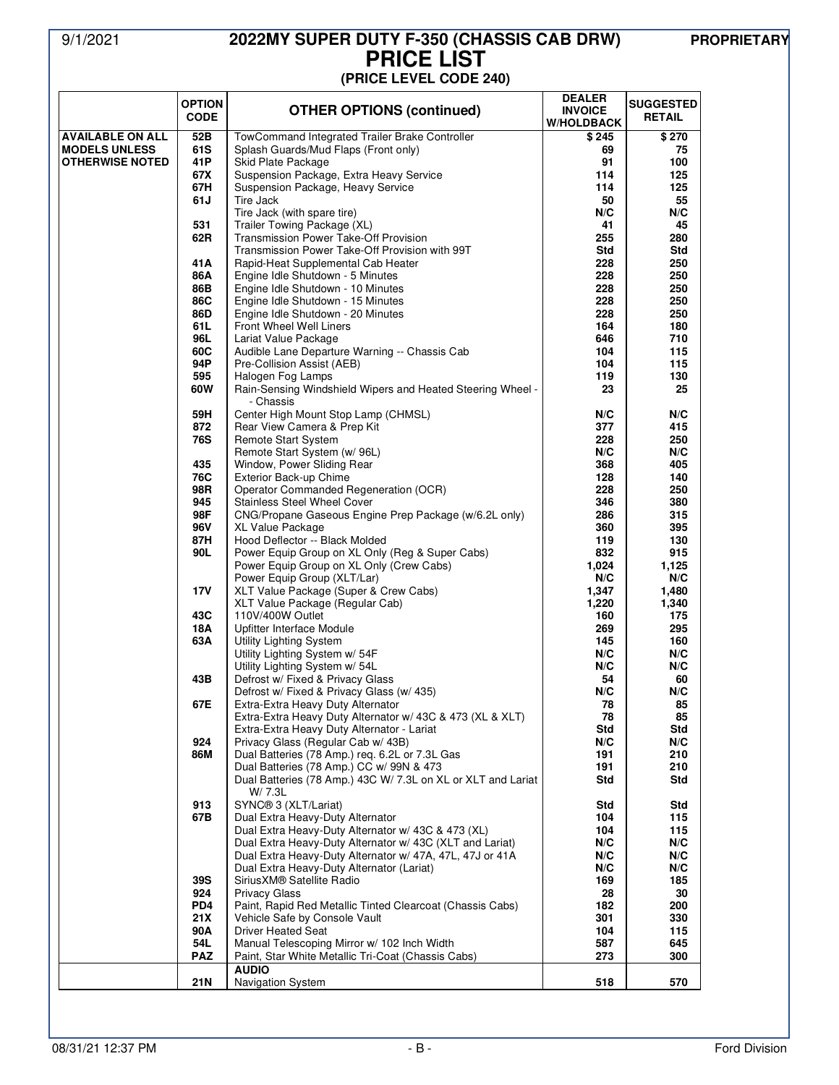### 9/1/2021 **2022MY SUPER DUTY F-350 (CHASSIS CAB DRW) PROPRIETARY PRICE LIST (PRICE LEVEL CODE 240)**

|                         | <b>OPTION</b><br><b>CODE</b> | <b>OTHER OPTIONS (continued)</b>                                                                                    | <b>DEALER</b><br><b>INVOICE</b><br><b>W/HOLDBACK</b> | <b>SUGGESTED</b><br><b>RETAIL</b> |
|-------------------------|------------------------------|---------------------------------------------------------------------------------------------------------------------|------------------------------------------------------|-----------------------------------|
| <b>AVAILABLE ON ALL</b> | 52B                          | TowCommand Integrated Trailer Brake Controller                                                                      | \$245                                                | \$270                             |
| <b>MODELS UNLESS</b>    | 61S                          | Splash Guards/Mud Flaps (Front only)                                                                                | 69                                                   | 75                                |
| <b>OTHERWISE NOTED</b>  | 41 P<br>67X                  | Skid Plate Package<br>Suspension Package, Extra Heavy Service                                                       | 91<br>114                                            | 100<br>125                        |
|                         | 67H                          | Suspension Package, Heavy Service                                                                                   | 114                                                  | 125                               |
|                         | 61J                          | Tire Jack                                                                                                           | 50                                                   | 55                                |
|                         |                              | Tire Jack (with spare tire)                                                                                         | N/C                                                  | N/C                               |
|                         | 531                          | Trailer Towing Package (XL)                                                                                         | 41                                                   | 45                                |
|                         | 62R                          | <b>Transmission Power Take-Off Provision</b>                                                                        | 255                                                  | 280                               |
|                         | 41 A                         | Transmission Power Take-Off Provision with 99T<br>Rapid-Heat Supplemental Cab Heater                                | Std<br>228                                           | Std<br>250                        |
|                         | 86A                          | Engine Idle Shutdown - 5 Minutes                                                                                    | 228                                                  | 250                               |
|                         | 86B                          | Engine Idle Shutdown - 10 Minutes                                                                                   | 228                                                  | 250                               |
|                         | 86C                          | Engine Idle Shutdown - 15 Minutes                                                                                   | 228                                                  | 250                               |
|                         | 86D                          | Engine Idle Shutdown - 20 Minutes                                                                                   | 228                                                  | 250                               |
|                         | 61L<br>96L                   | Front Wheel Well Liners                                                                                             | 164                                                  | 180<br>710                        |
|                         | 60C                          | Lariat Value Package<br>Audible Lane Departure Warning -- Chassis Cab                                               | 646<br>104                                           | 115                               |
|                         | 94P                          | Pre-Collision Assist (AEB)                                                                                          | 104                                                  | 115                               |
|                         | 595                          | Halogen Fog Lamps                                                                                                   | 119                                                  | 130                               |
|                         | 60W                          | Rain-Sensing Windshield Wipers and Heated Steering Wheel -<br>- Chassis                                             | 23                                                   | 25                                |
|                         | 59H<br>872                   | Center High Mount Stop Lamp (CHMSL)<br>Rear View Camera & Prep Kit                                                  | N/C<br>377                                           | N/C<br>415                        |
|                         | 76S                          | Remote Start System                                                                                                 | 228                                                  | 250                               |
|                         |                              | Remote Start System (w/ 96L)                                                                                        | N/C                                                  | N/C                               |
|                         | 435                          | Window, Power Sliding Rear                                                                                          | 368                                                  | 405                               |
|                         | 76C                          | Exterior Back-up Chime                                                                                              | 128                                                  | 140                               |
|                         | 98R                          | Operator Commanded Regeneration (OCR)                                                                               | 228                                                  | 250                               |
|                         | 945                          | <b>Stainless Steel Wheel Cover</b>                                                                                  | 346                                                  | 380                               |
|                         | 98F<br>96V                   | CNG/Propane Gaseous Engine Prep Package (w/6.2L only)<br>XL Value Package                                           | 286<br>360                                           | 315<br>395                        |
|                         | 87H                          | Hood Deflector -- Black Molded                                                                                      | 119                                                  | 130                               |
|                         | 90L                          | Power Equip Group on XL Only (Reg & Super Cabs)                                                                     | 832                                                  | 915                               |
|                         |                              | Power Equip Group on XL Only (Crew Cabs)<br>Power Equip Group (XLT/Lar)                                             | 1,024<br>N/C                                         | 1,125<br>N/C                      |
|                         | <b>17V</b>                   | XLT Value Package (Super & Crew Cabs)                                                                               | 1,347                                                | 1,480                             |
|                         | 43C                          | XLT Value Package (Regular Cab)<br>110V/400W Outlet                                                                 | 1,220<br>160                                         | 1,340<br>175                      |
|                         | 18A                          | Upfitter Interface Module                                                                                           | 269                                                  | 295                               |
|                         | 63A                          | Utility Lighting System                                                                                             | 145                                                  | 160                               |
|                         |                              | Utility Lighting System w/ 54F                                                                                      | N/C                                                  | N/C                               |
|                         |                              | Utility Lighting System w/ 54L                                                                                      | N/C                                                  | N/C                               |
|                         | 43B                          | Defrost w/ Fixed & Privacy Glass                                                                                    | 54                                                   | 60                                |
|                         | 67E                          | Defrost w/ Fixed & Privacy Glass (w/ 435)<br>Extra-Extra Heavy Duty Alternator                                      | N/C<br>78                                            | N/C<br>85                         |
|                         |                              | Extra-Extra Heavy Duty Alternator w/ 43C & 473 (XL & XLT)                                                           | 78                                                   | 85                                |
|                         |                              | Extra-Extra Heavy Duty Alternator - Lariat                                                                          | Std                                                  | Std                               |
|                         | 924                          | Privacy Glass (Regular Cab w/ 43B)                                                                                  | N/C                                                  | N/C                               |
|                         | 86M                          | Dual Batteries (78 Amp.) req. 6.2L or 7.3L Gas                                                                      | 191                                                  | 210                               |
|                         |                              | Dual Batteries (78 Amp.) CC w/ 99N & 473<br>Dual Batteries (78 Amp.) 43C W/ 7.3L on XL or XLT and Lariat<br>W/ 7.3L | 191<br>Std                                           | 210<br>Std                        |
|                         | 913                          | SYNC® 3 (XLT/Lariat)                                                                                                | Std                                                  | Std                               |
|                         | 67B                          | Dual Extra Heavy-Duty Alternator                                                                                    | 104                                                  | 115                               |
|                         |                              | Dual Extra Heavy-Duty Alternator w/ 43C & 473 (XL)                                                                  | 104                                                  | 115                               |
|                         |                              | Dual Extra Heavy-Duty Alternator w/ 43C (XLT and Lariat)                                                            | N/C                                                  | N/C                               |
|                         |                              | Dual Extra Heavy-Duty Alternator w/ 47A, 47L, 47J or 41A                                                            | N/C                                                  | N/C<br>N/C                        |
|                         | 39S                          | Dual Extra Heavy-Duty Alternator (Lariat)<br>Sirius XM® Satellite Radio                                             | N/C<br>169                                           | 185                               |
|                         | 924                          | <b>Privacy Glass</b>                                                                                                | 28                                                   | 30                                |
|                         | PD <sub>4</sub>              | Paint, Rapid Red Metallic Tinted Clearcoat (Chassis Cabs)                                                           | 182                                                  | 200                               |
|                         | 21X                          | Vehicle Safe by Console Vault                                                                                       | 301                                                  | 330                               |
|                         | 90A                          | <b>Driver Heated Seat</b>                                                                                           | 104                                                  | 115                               |
|                         | 54L<br><b>PAZ</b>            | Manual Telescoping Mirror w/ 102 Inch Width<br>Paint, Star White Metallic Tri-Coat (Chassis Cabs)                   | 587<br>273                                           | 645<br>300                        |
|                         |                              | <b>AUDIO</b>                                                                                                        |                                                      |                                   |
|                         | 21N                          | <b>Navigation System</b>                                                                                            | 518                                                  | 570                               |